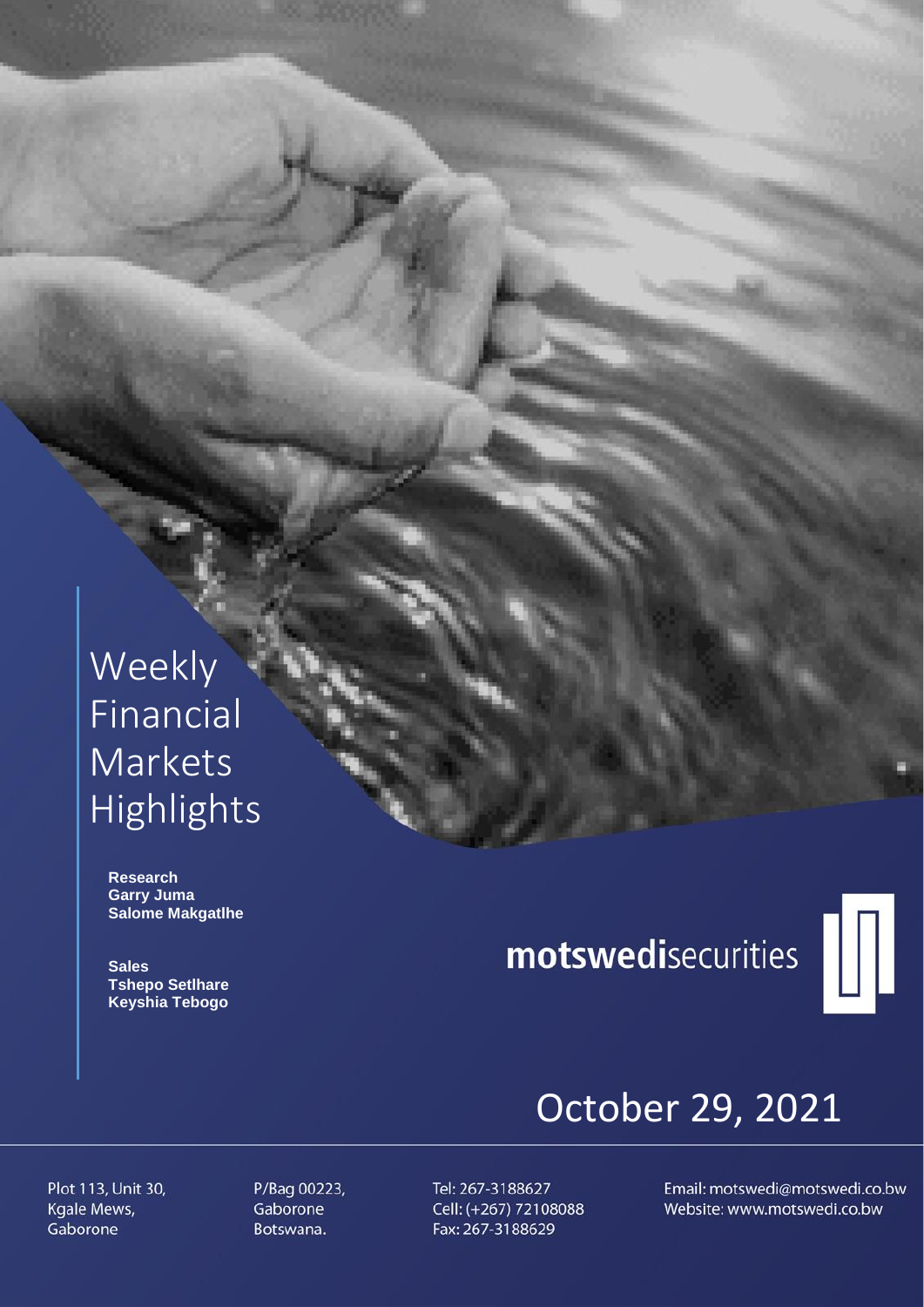## Weekly Financial **Markets** Highlights

 **Research Garry Juma Salome Makgatlhe**

 **Sales Tshepo Setlhare Keyshia Tebogo**

# motswedisecurities



## October 29, 2021

Plot 113, Unit 30, Kgale Mews, Gaborone

P/Bag 00223, Gaborone Botswana.

Tel: 267-3188627 Cell: (+267) 72108088 Fax: 267-3188629

Email: motswedi@motswedi.co.bw Website: www.motswedi.co.bw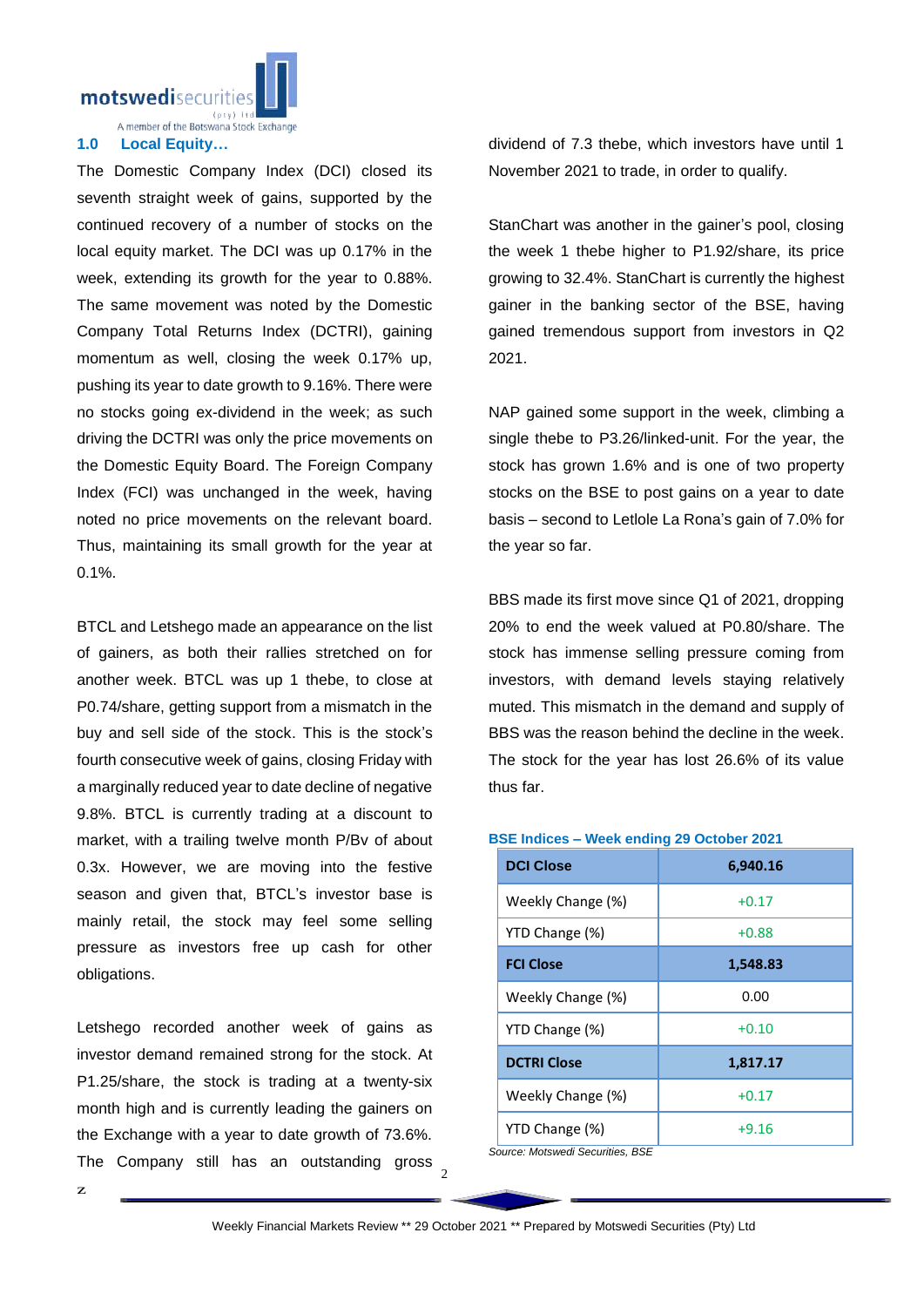motswedisecuritie

A member of the Botswana Stock Exchange

#### **1.0 Local Equity…**

The Domestic Company Index (DCI) closed its seventh straight week of gains, supported by the continued recovery of a number of stocks on the local equity market. The DCI was up 0.17% in the week, extending its growth for the year to 0.88%. The same movement was noted by the Domestic Company Total Returns Index (DCTRI), gaining momentum as well, closing the week 0.17% up, pushing its year to date growth to 9.16%. There were no stocks going ex-dividend in the week; as such driving the DCTRI was only the price movements on the Domestic Equity Board. The Foreign Company Index (FCI) was unchanged in the week, having noted no price movements on the relevant board. Thus, maintaining its small growth for the year at 0.1%.

BTCL and Letshego made an appearance on the list of gainers, as both their rallies stretched on for another week. BTCL was up 1 thebe, to close at P0.74/share, getting support from a mismatch in the buy and sell side of the stock. This is the stock's fourth consecutive week of gains, closing Friday with a marginally reduced year to date decline of negative 9.8%. BTCL is currently trading at a discount to market, with a trailing twelve month P/Bv of about 0.3x. However, we are moving into the festive season and given that, BTCL's investor base is mainly retail, the stock may feel some selling pressure as investors free up cash for other obligations.

The Company still has an outstanding gross  $\frac{2}{2}$ Letshego recorded another week of gains as investor demand remained strong for the stock. At P1.25/share, the stock is trading at a twenty-six month high and is currently leading the gainers on the Exchange with a year to date growth of 73.6%.

dividend of 7.3 thebe, which investors have until 1 November 2021 to trade, in order to qualify.

StanChart was another in the gainer's pool, closing the week 1 thebe higher to P1.92/share, its price growing to 32.4%. StanChart is currently the highest gainer in the banking sector of the BSE, having gained tremendous support from investors in Q2 2021.

NAP gained some support in the week, climbing a single thebe to P3.26/linked-unit. For the year, the stock has grown 1.6% and is one of two property stocks on the BSE to post gains on a year to date basis – second to Letlole La Rona's gain of 7.0% for the year so far.

BBS made its first move since Q1 of 2021, dropping 20% to end the week valued at P0.80/share. The stock has immense selling pressure coming from investors, with demand levels staying relatively muted. This mismatch in the demand and supply of BBS was the reason behind the decline in the week. The stock for the year has lost 26.6% of its value thus far.

#### **BSE Indices – Week ending 29 October 2021**

| <b>DCI Close</b>   | 6,940.16 |
|--------------------|----------|
| Weekly Change (%)  | $+0.17$  |
| YTD Change (%)     | $+0.88$  |
| <b>FCI Close</b>   | 1,548.83 |
| Weekly Change (%)  | 0.00     |
| YTD Change (%)     | $+0.10$  |
| <b>DCTRI Close</b> | 1,817.17 |
| Weekly Change (%)  | $+0.17$  |
| YTD Change (%)     | $+9.16$  |

*Source: Motswedi Securities, BSE*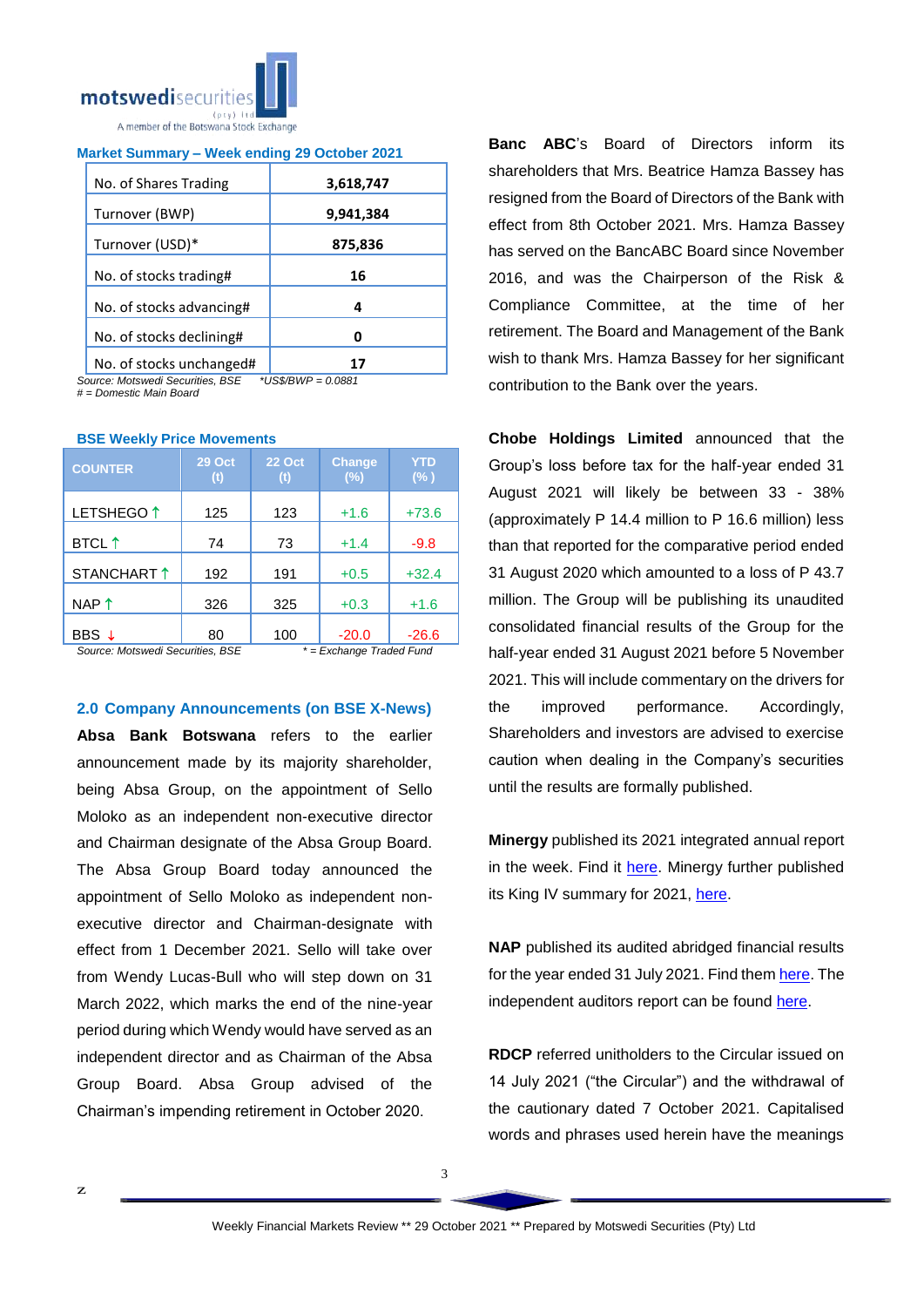

| Market Summary - Week ending 29 October 2021 |  |  |  |
|----------------------------------------------|--|--|--|
|                                              |  |  |  |

| No. of Shares Trading    | 3,618,747 |
|--------------------------|-----------|
| Turnover (BWP)           | 9,941,384 |
| Turnover (USD)*          | 875,836   |
| No. of stocks trading#   | 16        |
| No. of stocks advancing# | 4         |
| No. of stocks declining# | Ω         |
| No. of stocks unchanged# |           |

*Source: Motswedi Securities, BSE \*US\$/BWP = 0.0881 # = Domestic Main Board*

|  |  |  |  | <b>BSE Weekly Price Movements</b> |
|--|--|--|--|-----------------------------------|
|--|--|--|--|-----------------------------------|

| <b>COUNTER</b>                          | <b>29 Oct</b><br>(t) | <b>22 Oct</b><br>(t) | <b>Change</b><br>(%)            | YTD<br>$(\% )$ |
|-----------------------------------------|----------------------|----------------------|---------------------------------|----------------|
| LETSHEGO <sup>1</sup>                   | 125                  | 123                  | $+1.6$                          | $+73.6$        |
| <b>BTCL</b> 1                           | 74                   | 73                   | $+1.4$                          | $-9.8$         |
| STANCHART <sup>1</sup>                  | 192                  | 191                  | $+0.5$                          | $+32.4$        |
| NAP $\uparrow$                          | 326                  | 325                  | $+0.3$                          | $+1.6$         |
| BBS ↓<br>Course Motowood Convultion DOE | 80                   | 100<br>$\star$       | $-20.0$<br>Evehenne Traded Eved | $-26.6$        |

*Source: Motswedi Securities, BSE \* = Exchange Traded Fund*

**2.0 Company Announcements (on BSE X-News)**

**Absa Bank Botswana** refers to the earlier announcement made by its majority shareholder, being Absa Group, on the appointment of Sello Moloko as an independent non-executive director and Chairman designate of the Absa Group Board. The Absa Group Board today announced the appointment of Sello Moloko as independent nonexecutive director and Chairman-designate with effect from 1 December 2021. Sello will take over from Wendy Lucas-Bull who will step down on 31 March 2022, which marks the end of the nine-year period during which Wendy would have served as an independent director and as Chairman of the Absa Group Board. Absa Group advised of the Chairman's impending retirement in October 2020.

**Banc ABC**'s Board of Directors inform its shareholders that Mrs. Beatrice Hamza Bassey has resigned from the Board of Directors of the Bank with effect from 8th October 2021. Mrs. Hamza Bassey has served on the BancABC Board since November 2016, and was the Chairperson of the Risk & Compliance Committee, at the time of her retirement. The Board and Management of the Bank wish to thank Mrs. Hamza Bassey for her significant contribution to the Bank over the years.

**Chobe Holdings Limited** announced that the Group's loss before tax for the half-year ended 31 August 2021 will likely be between 33 - 38% (approximately P 14.4 million to P 16.6 million) less than that reported for the comparative period ended 31 August 2020 which amounted to a loss of P 43.7 million. The Group will be publishing its unaudited consolidated financial results of the Group for the half-year ended 31 August 2021 before 5 November 2021. This will include commentary on the drivers for the improved performance. Accordingly, Shareholders and investors are advised to exercise caution when dealing in the Company's securities until the results are formally published.

**Minergy** published its 2021 integrated annual report in the week. Find it [here.](https://apis.bse.co.bw/storage/disclosures/10/2021/2467.pdf) Minergy further published its King IV summary for 2021, [here.](https://apis.bse.co.bw/storage/disclosures/10/2021/2468.pdf)

**NAP** published its audited abridged financial results for the year ended 31 July 2021. Find the[m here.](https://apis.bse.co.bw/storage/disclosures/10/2021/2486.pdf) The independent auditors report can be found [here.](https://apis.bse.co.bw/storage/disclosures/10/2021/2487.pdf)

**RDCP** referred unitholders to the Circular issued on 14 July 2021 ("the Circular") and the withdrawal of the cautionary dated 7 October 2021. Capitalised words and phrases used herein have the meanings

3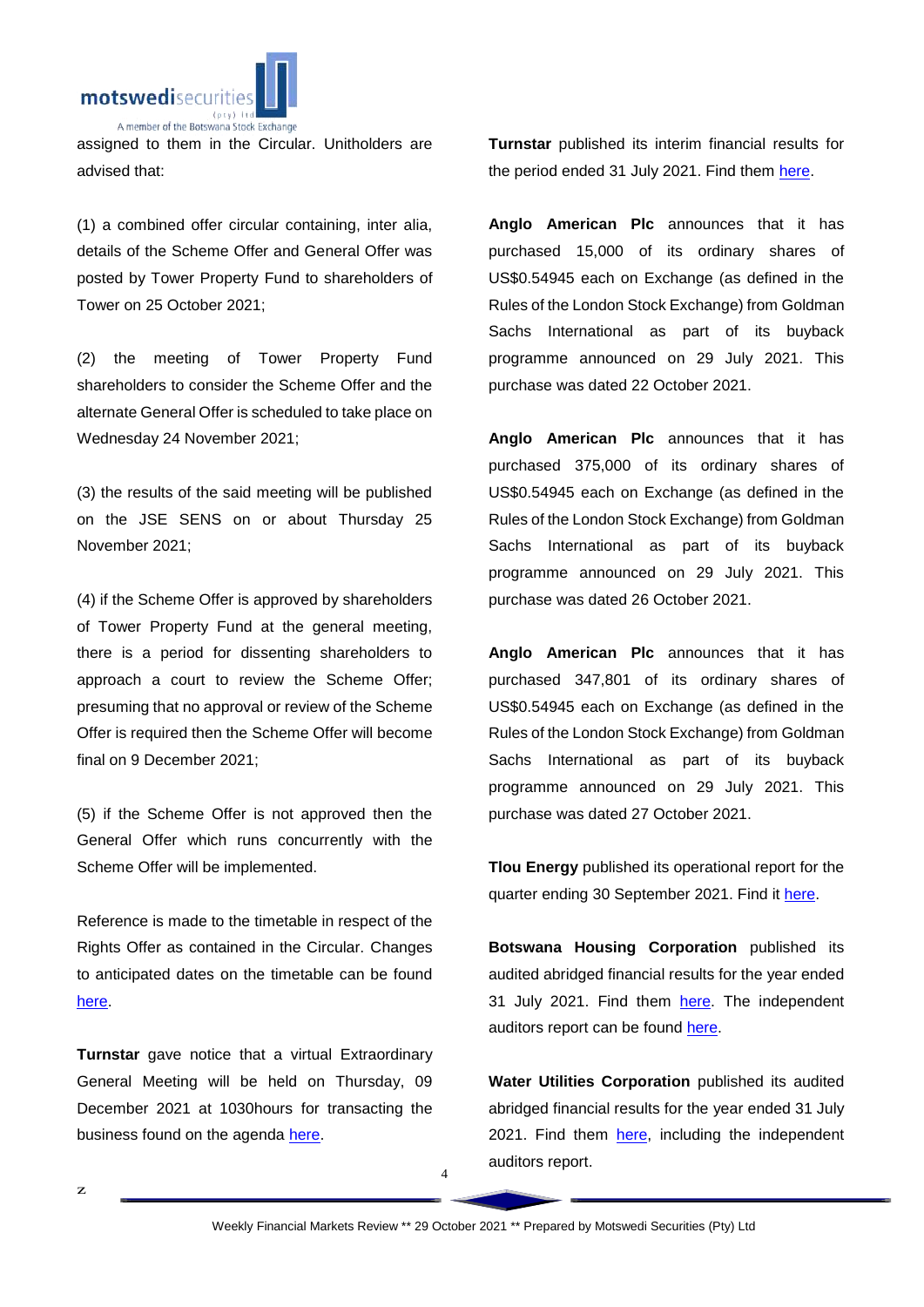

assigned to them in the Circular. Unitholders are advised that:

(1) a combined offer circular containing, inter alia, details of the Scheme Offer and General Offer was posted by Tower Property Fund to shareholders of Tower on 25 October 2021;

(2) the meeting of Tower Property Fund shareholders to consider the Scheme Offer and the alternate General Offer is scheduled to take place on Wednesday 24 November 2021;

(3) the results of the said meeting will be published on the JSE SENS on or about Thursday 25 November 2021;

(4) if the Scheme Offer is approved by shareholders of Tower Property Fund at the general meeting, there is a period for dissenting shareholders to approach a court to review the Scheme Offer; presuming that no approval or review of the Scheme Offer is required then the Scheme Offer will become final on 9 December 2021;

(5) if the Scheme Offer is not approved then the General Offer which runs concurrently with the Scheme Offer will be implemented.

Reference is made to the timetable in respect of the Rights Offer as contained in the Circular. Changes to anticipated dates on the timetable can be found [here.](https://apis.bse.co.bw/storage/disclosures/10/2021/2469.pdf)

**Turnstar** gave notice that a virtual Extraordinary General Meeting will be held on Thursday, 09 December 2021 at 1030hours for transacting the business found on the agenda [here.](https://apis.bse.co.bw/storage/disclosures/10/2021/2472.pdf)

z

**Turnstar** published its interim financial results for the period ended 31 July 2021. Find them [here.](https://apis.bse.co.bw/storage/disclosures/10/2021/2477.pdf)

**Anglo American Plc** announces that it has purchased 15,000 of its ordinary shares of US\$0.54945 each on Exchange (as defined in the Rules of the London Stock Exchange) from Goldman Sachs International as part of its buyback programme announced on 29 July 2021. This purchase was dated 22 October 2021.

**Anglo American Plc** announces that it has purchased 375,000 of its ordinary shares of US\$0.54945 each on Exchange (as defined in the Rules of the London Stock Exchange) from Goldman Sachs International as part of its buyback programme announced on 29 July 2021. This purchase was dated 26 October 2021.

**Anglo American Plc** announces that it has purchased 347,801 of its ordinary shares of US\$0.54945 each on Exchange (as defined in the Rules of the London Stock Exchange) from Goldman Sachs International as part of its buyback programme announced on 29 July 2021. This purchase was dated 27 October 2021.

**Tlou Energy** published its operational report for the quarter ending 30 September 2021. Find it [here.](https://apis.bse.co.bw/storage/disclosures/10/2021/2466.pdf)

**Botswana Housing Corporation** published its audited abridged financial results for the year ended 31 July 2021. Find them [here.](https://apis.bse.co.bw/storage/disclosures/10/2021/2482.pdf) The independent auditors report can be found [here.](https://apis.bse.co.bw/storage/disclosures/10/2021/2483.pdf)

**Water Utilities Corporation** published its audited abridged financial results for the year ended 31 July 2021. Find them [here,](https://apis.bse.co.bw/storage/disclosures/11/2021/2489.pdf) including the independent auditors report.